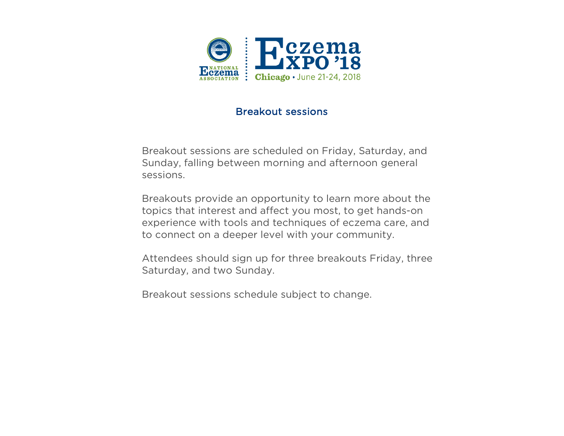

#### Breakout sessions

 Breakout sessions are scheduled on Friday, Saturday, and Sunday, falling between morning and afternoon general sessions.

 Breakouts provide an opportunity to learn more about the topics that interest and affect you most, to get hands-on experience with tools and techniques of eczema care, and to connect on a deeper level with your community.

 Attendees should sign up for three breakouts Friday, three Saturday, and two Sunday.

Breakout sessions schedule subject to change.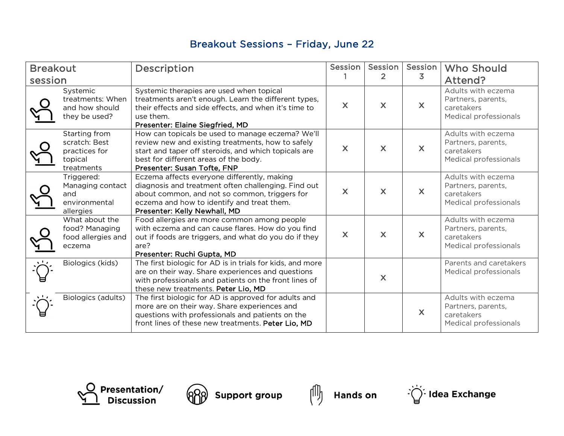## Breakout Sessions – Friday, June 22

| <b>Breakout</b><br>session |                                                                          | Description                                                                                                                                                                                                                           | Session      | Session  <br>$\mathbf{2}$ | Session<br>3              | <b>Who Should</b><br>Attend?                                                    |
|----------------------------|--------------------------------------------------------------------------|---------------------------------------------------------------------------------------------------------------------------------------------------------------------------------------------------------------------------------------|--------------|---------------------------|---------------------------|---------------------------------------------------------------------------------|
|                            | Systemic<br>treatments: When<br>and how should<br>they be used?          | Systemic therapies are used when topical<br>treatments aren't enough. Learn the different types,<br>their effects and side effects, and when it's time to<br>use them.<br>Presenter: Elaine Siegfried, MD                             | $\mathsf{X}$ | $\mathsf{X}$              | $\boldsymbol{\mathsf{X}}$ | Adults with eczema<br>Partners, parents,<br>caretakers<br>Medical professionals |
|                            | Starting from<br>scratch: Best<br>practices for<br>topical<br>treatments | How can topicals be used to manage eczema? We'll<br>review new and existing treatments, how to safely<br>start and taper off steroids, and which topicals are<br>best for different areas of the body.<br>Presenter: Susan Tofte, FNP | X            | $\mathsf{X}$              | $\boldsymbol{\mathsf{X}}$ | Adults with eczema<br>Partners, parents,<br>caretakers<br>Medical professionals |
|                            | Triggered:<br>Managing contact<br>and<br>environmental<br>allergies      | Eczema affects everyone differently, making<br>diagnosis and treatment often challenging. Find out<br>about common, and not so common, triggers for<br>eczema and how to identify and treat them.<br>Presenter: Kelly Newhall, MD     | X            | X                         | $\boldsymbol{\mathsf{X}}$ | Adults with eczema<br>Partners, parents,<br>caretakers<br>Medical professionals |
|                            | What about the<br>food? Managing<br>food allergies and<br>eczema         | Food allergies are more common among people<br>with eczema and can cause flares. How do you find<br>out if foods are triggers, and what do you do if they<br>are?<br>Presenter: Ruchi Gupta, MD                                       | X            | $\overline{\mathsf{X}}$   | $\mathsf{X}$              | Adults with eczema<br>Partners, parents,<br>caretakers<br>Medical professionals |
| $\sqrt{1}$                 | Biologics (kids)                                                         | The first biologic for AD is in trials for kids, and more<br>are on their way. Share experiences and questions<br>with professionals and patients on the front lines of<br>these new treatments. Peter Lio, MD                        |              | $\mathsf{X}$              |                           | Parents and caretakers<br>Medical professionals                                 |
|                            | Biologics (adults)                                                       | The first biologic for AD is approved for adults and<br>more are on their way. Share experiences and<br>questions with professionals and patients on the<br>front lines of these new treatments. Peter Lio, MD                        |              |                           | $\boldsymbol{\mathsf{X}}$ | Adults with eczema<br>Partners, parents,<br>caretakers<br>Medical professionals |





 $\partial\!\!\!\!\!\partial$  Support group  $\begin{pmatrix} 0 \ 0 \end{pmatrix}$ 



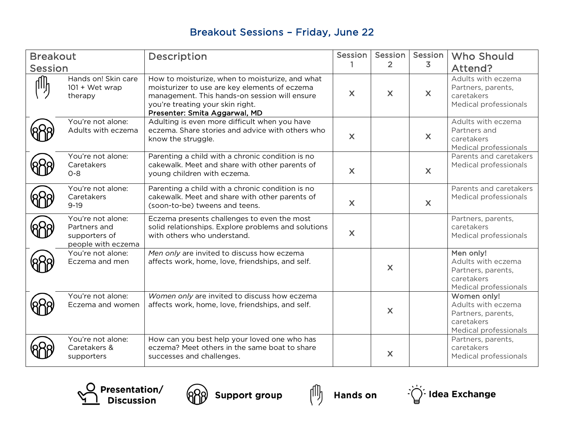# Breakout Sessions – Friday, June 22

| <b>Breakout</b> |                                                                          | Description                                                                                                                                                                                                            | <b>Session</b>          | Session        | Session                   | <b>Who Should</b>                                                                              |
|-----------------|--------------------------------------------------------------------------|------------------------------------------------------------------------------------------------------------------------------------------------------------------------------------------------------------------------|-------------------------|----------------|---------------------------|------------------------------------------------------------------------------------------------|
| Session         |                                                                          |                                                                                                                                                                                                                        | 1                       | $\overline{2}$ | 3.                        | Attend?                                                                                        |
|                 | Hands on! Skin care<br>$101 + Wet$ wrap<br>therapy                       | How to moisturize, when to moisturize, and what<br>moisturizer to use are key elements of eczema<br>management. This hands-on session will ensure<br>you're treating your skin right.<br>Presenter: Smita Aggarwal, MD | $\overline{\mathsf{X}}$ | X              | $\boldsymbol{\mathsf{X}}$ | Adults with eczema<br>Partners, parents,<br>caretakers<br>Medical professionals                |
|                 | You're not alone:<br>Adults with eczema                                  | Adulting is even more difficult when you have<br>eczema. Share stories and advice with others who<br>know the struggle.                                                                                                | $\mathsf{X}$            |                | X                         | Adults with eczema<br>Partners and<br>caretakers<br>Medical professionals                      |
|                 | You're not alone:<br>Caretakers<br>$O - 8$                               | Parenting a child with a chronic condition is no<br>cakewalk. Meet and share with other parents of<br>young children with eczema.                                                                                      | $\mathsf{X}$            |                | $\boldsymbol{\mathsf{X}}$ | Parents and caretakers<br>Medical professionals                                                |
|                 | You're not alone:<br>Caretakers<br>$9 - 19$                              | Parenting a child with a chronic condition is no<br>cakewalk. Meet and share with other parents of<br>(soon-to-be) tweens and teens.                                                                                   | X                       |                | $\boldsymbol{\mathsf{X}}$ | Parents and caretakers<br>Medical professionals                                                |
|                 | You're not alone:<br>Partners and<br>supporters of<br>people with eczema | Eczema presents challenges to even the most<br>solid relationships. Explore problems and solutions<br>with others who understand.                                                                                      | $\mathsf{X}$            |                |                           | Partners, parents,<br>caretakers<br>Medical professionals                                      |
|                 | You're not alone:<br>Eczema and men                                      | Men only are invited to discuss how eczema<br>affects work, home, love, friendships, and self.                                                                                                                         |                         | $\mathsf{X}$   |                           | Men only!<br>Adults with eczema<br>Partners, parents,<br>caretakers<br>Medical professionals   |
|                 | You're not alone:<br>Eczema and women                                    | Women only are invited to discuss how eczema<br>affects work, home, love, friendships, and self.                                                                                                                       |                         | $\mathsf{X}$   |                           | Women only!<br>Adults with eczema<br>Partners, parents,<br>caretakers<br>Medical professionals |
|                 | You're not alone:<br>Caretakers &<br>supporters                          | How can you best help your loved one who has<br>eczema? Meet others in the same boat to share<br>successes and challenges.                                                                                             |                         | X              |                           | Partners, parents,<br>caretakers<br>Medical professionals                                      |







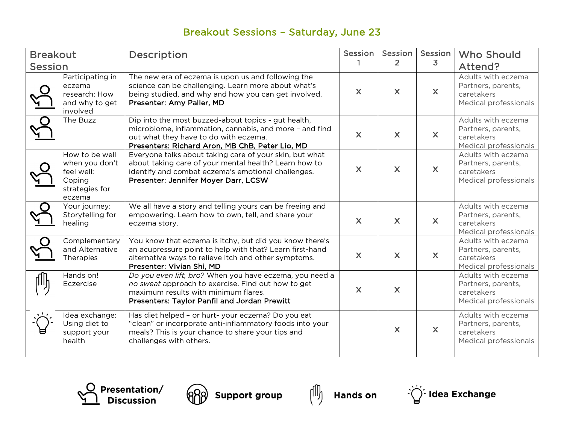# Breakout Sessions – Saturday, June 23

| <b>Breakout</b><br>Session |                                                                                      | Description                                                                                                                                                                                                    | Session                   | Session<br>$\overline{2}$ | Session<br>3              | <b>Who Should</b><br>Attend?                                                    |
|----------------------------|--------------------------------------------------------------------------------------|----------------------------------------------------------------------------------------------------------------------------------------------------------------------------------------------------------------|---------------------------|---------------------------|---------------------------|---------------------------------------------------------------------------------|
|                            | Participating in<br>eczema<br>research: How<br>and why to get<br>involved            | The new era of eczema is upon us and following the<br>science can be challenging. Learn more about what's<br>being studied, and why and how you can get involved.<br>Presenter: Amy Paller, MD                 | $\mathsf{X}$              | $\mathsf{X}$              | $\boldsymbol{\mathsf{X}}$ | Adults with eczema<br>Partners, parents,<br>caretakers<br>Medical professionals |
| $\overline{Q}$<br>门        | The Buzz                                                                             | Dip into the most buzzed-about topics - gut health,<br>microbiome, inflammation, cannabis, and more - and find<br>out what they have to do with eczema.<br>Presenters: Richard Aron, MB ChB, Peter Lio, MD     | $\mathsf{X}$              | $\mathsf{X}$              | $\boldsymbol{\mathsf{X}}$ | Adults with eczema<br>Partners, parents,<br>caretakers<br>Medical professionals |
|                            | How to be well<br>when you don't<br>feel well:<br>Coping<br>strategies for<br>eczema | Everyone talks about taking care of your skin, but what<br>about taking care of your mental health? Learn how to<br>identify and combat eczema's emotional challenges.<br>Presenter: Jennifer Moyer Darr, LCSW | $\boldsymbol{\mathsf{X}}$ | $\mathsf{X}$              | $\boldsymbol{\mathsf{X}}$ | Adults with eczema<br>Partners, parents,<br>caretakers<br>Medical professionals |
|                            | Your journey:<br>Storytelling for<br>healing                                         | We all have a story and telling yours can be freeing and<br>empowering. Learn how to own, tell, and share your<br>eczema story.                                                                                | $\overline{\mathsf{X}}$   | $\overline{\mathsf{X}}$   | $\mathsf{X}$              | Adults with eczema<br>Partners, parents,<br>caretakers<br>Medical professionals |
|                            | Complementary<br>and Alternative<br>Therapies                                        | You know that eczema is itchy, but did you know there's<br>an acupressure point to help with that? Learn first-hand<br>alternative ways to relieve itch and other symptoms.<br>Presenter: Vivian Shi, MD       | $\mathsf{X}$              | $\mathsf{X}$              | $\mathsf{X}$              | Adults with eczema<br>Partners, parents,<br>caretakers<br>Medical professionals |
|                            | Hands on!<br>Eczercise                                                               | Do you even lift, bro? When you have eczema, you need a<br>no sweat approach to exercise. Find out how to get<br>maximum results with minimum flares.<br>Presenters: Taylor Panfil and Jordan Prewitt          | $\mathsf{X}$              | $\mathsf{X}$              |                           | Adults with eczema<br>Partners, parents,<br>caretakers<br>Medical professionals |
|                            | Idea exchange:<br>Using diet to<br>support your<br>health                            | Has diet helped - or hurt- your eczema? Do you eat<br>"clean" or incorporate anti-inflammatory foods into your<br>meals? This is your chance to share your tips and<br>challenges with others.                 |                           | X                         | $\mathsf{X}$              | Adults with eczema<br>Partners, parents,<br>caretakers<br>Medical professionals |







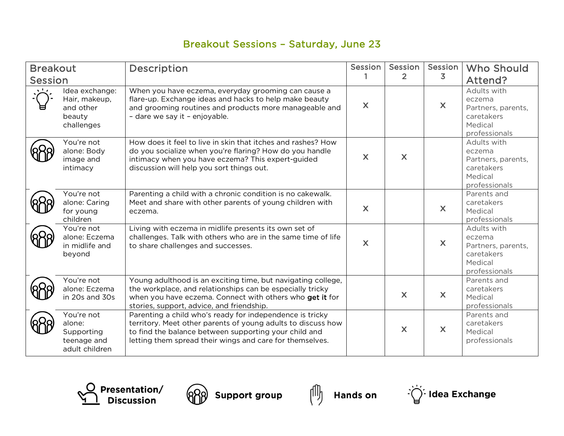## Breakout Sessions – Saturday, June 23

| <b>Breakout</b><br><b>Session</b> |                                                                      | Description                                                                                                                                                                                                                                   | Session      | Session  <br>$\overline{2}$ | Session<br>3              | <b>Who Should</b><br>Attend?                                                          |
|-----------------------------------|----------------------------------------------------------------------|-----------------------------------------------------------------------------------------------------------------------------------------------------------------------------------------------------------------------------------------------|--------------|-----------------------------|---------------------------|---------------------------------------------------------------------------------------|
|                                   | Idea exchange:<br>Hair, makeup,<br>and other<br>beauty<br>challenges | When you have eczema, everyday grooming can cause a<br>flare-up. Exchange ideas and hacks to help make beauty<br>and grooming routines and products more manageable and<br>- dare we say it - enjoyable.                                      | $\mathsf{X}$ |                             | $\mathsf{X}$              | Adults with<br>eczema<br>Partners, parents,<br>caretakers<br>Medical<br>professionals |
|                                   | You're not<br>alone: Body<br>image and<br>intimacy                   | How does it feel to live in skin that itches and rashes? How<br>do you socialize when you're flaring? How do you handle<br>intimacy when you have eczema? This expert-guided<br>discussion will help you sort things out.                     | $\mathsf{X}$ | $\mathsf{X}$                |                           | Adults with<br>eczema<br>Partners, parents,<br>caretakers<br>Medical<br>professionals |
|                                   | You're not<br>alone: Caring<br>for young<br>children                 | Parenting a child with a chronic condition is no cakewalk.<br>Meet and share with other parents of young children with<br>eczema.                                                                                                             | $\mathsf{X}$ |                             | X                         | Parents and<br>caretakers<br>Medical<br>professionals                                 |
|                                   | You're not<br>alone: Eczema<br>in midlife and<br>beyond              | Living with eczema in midlife presents its own set of<br>challenges. Talk with others who are in the same time of life<br>to share challenges and successes.                                                                                  | $\mathsf{X}$ |                             | $\boldsymbol{\mathsf{X}}$ | Adults with<br>eczema<br>Partners, parents,<br>caretakers<br>Medical<br>professionals |
|                                   | You're not<br>alone: Eczema<br>in 20s and 30s                        | Young adulthood is an exciting time, but navigating college,<br>the workplace, and relationships can be especially tricky<br>when you have eczema. Connect with others who get it for<br>stories, support, advice, and friendship.            |              | $\mathsf{X}$                | $\mathsf{X}$              | Parents and<br>caretakers<br>Medical<br>professionals                                 |
|                                   | You're not<br>alone:<br>Supporting<br>teenage and<br>adult children  | Parenting a child who's ready for independence is tricky<br>territory. Meet other parents of young adults to discuss how<br>to find the balance between supporting your child and<br>letting them spread their wings and care for themselves. |              | X                           | $\boldsymbol{\mathsf{X}}$ | Parents and<br>caretakers<br>Medical<br>professionals                                 |







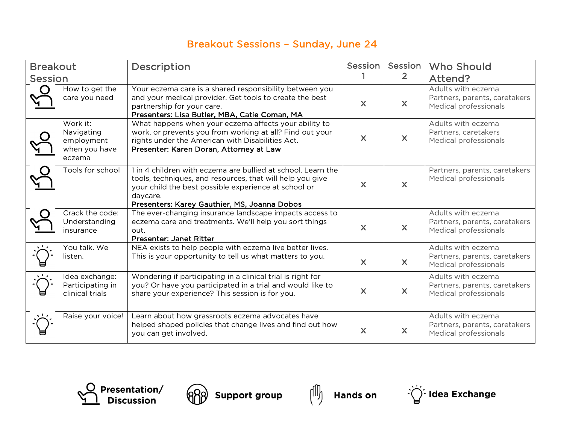## Breakout Sessions – Sunday, June 24

| <b>Breakout</b><br><b>Session</b> |                                                                 | Description                                                                                                                                                                                                                                   | Session                   | Session<br>$\overline{2}$ | <b>Who Should</b><br>Attend?                                                 |
|-----------------------------------|-----------------------------------------------------------------|-----------------------------------------------------------------------------------------------------------------------------------------------------------------------------------------------------------------------------------------------|---------------------------|---------------------------|------------------------------------------------------------------------------|
|                                   | How to get the<br>care you need                                 | Your eczema care is a shared responsibility between you<br>and your medical provider. Get tools to create the best<br>partnership for your care.<br>Presenters: Lisa Butler, MBA, Catie Coman, MA                                             | $\mathsf{X}$              | $\boldsymbol{\mathsf{X}}$ | Adults with eczema<br>Partners, parents, caretakers<br>Medical professionals |
|                                   | Work it:<br>Navigating<br>employment<br>when you have<br>eczema | What happens when your eczema affects your ability to<br>work, or prevents you from working at all? Find out your<br>rights under the American with Disabilities Act.<br>Presenter: Karen Doran, Attorney at Law                              | $\mathsf{X}$              | $\mathsf{X}$              | Adults with eczema<br>Partners, caretakers<br>Medical professionals          |
|                                   | Tools for school                                                | 1 in 4 children with eczema are bullied at school. Learn the<br>tools, techniques, and resources, that will help you give<br>your child the best possible experience at school or<br>daycare.<br>Presenters: Karey Gauthier, MS, Joanna Dobos | $\boldsymbol{\mathsf{X}}$ | $\overline{\mathsf{X}}$   | Partners, parents, caretakers<br>Medical professionals                       |
|                                   | Crack the code:<br>Understanding<br>insurance                   | The ever-changing insurance landscape impacts access to<br>eczema care and treatments. We'll help you sort things<br>out.<br><b>Presenter: Janet Ritter</b>                                                                                   | $\mathsf{X}$              | $\overline{\mathsf{X}}$   | Adults with eczema<br>Partners, parents, caretakers<br>Medical professionals |
|                                   | You talk. We<br>listen.                                         | NEA exists to help people with eczema live better lives.<br>This is your opportunity to tell us what matters to you.                                                                                                                          | $\mathsf{X}$              | $\boldsymbol{\mathsf{X}}$ | Adults with eczema<br>Partners, parents, caretakers<br>Medical professionals |
|                                   | Idea exchange:<br>Participating in<br>clinical trials           | Wondering if participating in a clinical trial is right for<br>you? Or have you participated in a trial and would like to<br>share your experience? This session is for you.                                                                  | $\overline{\mathsf{X}}$   | $\mathsf{X}$              | Adults with eczema<br>Partners, parents, caretakers<br>Medical professionals |
|                                   | Raise your voice!                                               | Learn about how grassroots eczema advocates have<br>helped shaped policies that change lives and find out how<br>you can get involved.                                                                                                        | $\mathsf{X}$              | $\mathsf{X}$              | Adults with eczema<br>Partners, parents, caretakers<br>Medical professionals |